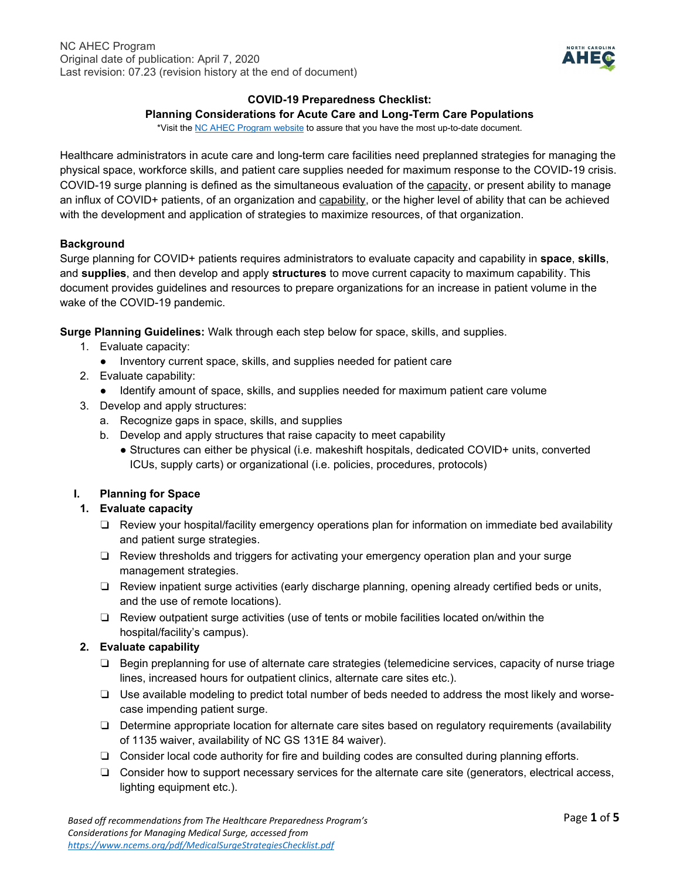

#### **COVID-19 Preparedness Checklist:**

#### **Planning Considerations for Acute Care and Long-Term Care Populations**

\*Visit th[e NC AHEC Program website](https://www.ncahec.net/covid-19/training-and-literature-for-health-care-professionals/workforce-surge-planning-playbooks/) to assure that you have the most up-to-date document.

Healthcare administrators in acute care and long-term care facilities need preplanned strategies for managing the physical space, workforce skills, and patient care supplies needed for maximum response to the COVID-19 crisis. COVID-19 surge planning is defined as the simultaneous evaluation of the capacity, or present ability to manage an influx of COVID+ patients, of an organization and capability, or the higher level of ability that can be achieved with the development and application of strategies to maximize resources, of that organization.

#### **Background**

Surge planning for COVID+ patients requires administrators to evaluate capacity and capability in **space**, **skills**, and **supplies**, and then develop and apply **structures** to move current capacity to maximum capability. This document provides guidelines and resources to prepare organizations for an increase in patient volume in the wake of the COVID-19 pandemic.

**Surge Planning Guidelines:** Walk through each step below for space, skills, and supplies.

- 1. Evaluate capacity:
	- Inventory current space, skills, and supplies needed for patient care
- 2. Evaluate capability:
	- Identify amount of space, skills, and supplies needed for maximum patient care volume
- 3. Develop and apply structures:
	- a. Recognize gaps in space, skills, and supplies
	- b. Develop and apply structures that raise capacity to meet capability
		- Structures can either be physical (i.e. makeshift hospitals, dedicated COVID+ units, converted ICUs, supply carts) or organizational (i.e. policies, procedures, protocols)

### **I. Planning for Space**

### **1. Evaluate capacity**

- ❏ Review your hospital/facility emergency operations plan for information on immediate bed availability and patient surge strategies.
- ❏ Review thresholds and triggers for activating your emergency operation plan and your surge management strategies.
- ❏ Review inpatient surge activities (early discharge planning, opening already certified beds or units, and the use of remote locations).
- ❏ Review outpatient surge activities (use of tents or mobile facilities located on/within the hospital/facility's campus).

### **2. Evaluate capability**

- ❏ Begin preplanning for use of alternate care strategies (telemedicine services, capacity of nurse triage lines, increased hours for outpatient clinics, alternate care sites etc.).
- ❏ Use available modeling to predict total number of beds needed to address the most likely and worsecase impending patient surge.
- ❏ Determine appropriate location for alternate care sites based on regulatory requirements (availability of 1135 waiver, availability of NC GS 131E 84 waiver).
- ❏ Consider local code authority for fire and building codes are consulted during planning efforts.
- ❏ Consider how to support necessary services for the alternate care site (generators, electrical access, lighting equipment etc.).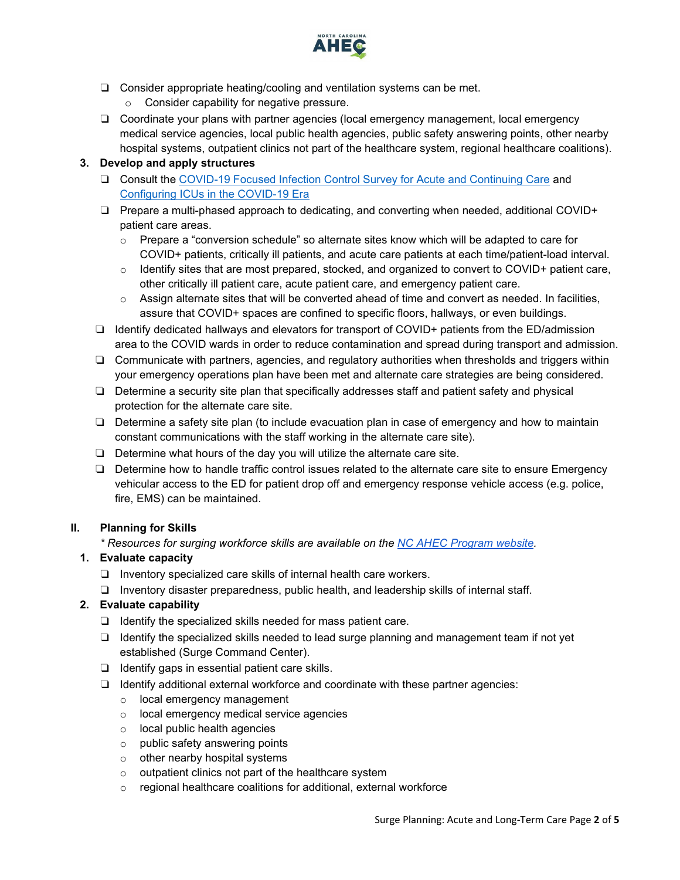

- ❏ Consider appropriate heating/cooling and ventilation systems can be met.
	- Consider capability for negative pressure.
- ❏ Coordinate your plans with partner agencies (local emergency management, local emergency medical service agencies, local public health agencies, public safety answering points, other nearby hospital systems, outpatient clinics not part of the healthcare system, regional healthcare coalitions).

## **3. Develop and apply structures**

- ❏ Consult the [COVID-19 Focused Infection Control Survey for Acute and Continuing Care](https://qsep.cms.gov/data/275/COVID-19FocusedSurvey-InfectionControlSurveyToolforNon-LTC.pdf) and [Configuring ICUs in the COVID-19 Era](https://www.sccm.org/getattachment/03130f42-5350-4456-be9f-b9407194938d/Configuring-ICUs-in-the-COVID-19-Era-A-Collection)
- ❏ Prepare a multi-phased approach to dedicating, and converting when needed, additional COVID+ patient care areas.
	- $\circ$  Prepare a "conversion schedule" so alternate sites know which will be adapted to care for COVID+ patients, critically ill patients, and acute care patients at each time/patient-load interval.
	- $\circ$  Identify sites that are most prepared, stocked, and organized to convert to COVID+ patient care, other critically ill patient care, acute patient care, and emergency patient care.
	- $\circ$  Assign alternate sites that will be converted ahead of time and convert as needed. In facilities, assure that COVID+ spaces are confined to specific floors, hallways, or even buildings.
- ❏ Identify dedicated hallways and elevators for transport of COVID+ patients from the ED/admission area to the COVID wards in order to reduce contamination and spread during transport and admission.
- ❏ Communicate with partners, agencies, and regulatory authorities when thresholds and triggers within your emergency operations plan have been met and alternate care strategies are being considered.
- ❏ Determine a security site plan that specifically addresses staff and patient safety and physical protection for the alternate care site.
- ❏ Determine a safety site plan (to include evacuation plan in case of emergency and how to maintain constant communications with the staff working in the alternate care site).
- ❏ Determine what hours of the day you will utilize the alternate care site.
- ❏ Determine how to handle traffic control issues related to the alternate care site to ensure Emergency vehicular access to the ED for patient drop off and emergency response vehicle access (e.g. police, fire, EMS) can be maintained.

### **II. Planning for Skills**

*\* Resources for surging workforce skills are available on the [NC AHEC Program website.](https://www.ncahec.net/covid-19/training-and-literature-for-health-care-professionals/workforce-surge-planning-playbooks/)*

### **1. Evaluate capacity**

- ❏ Inventory specialized care skills of internal health care workers.
- ❏ Inventory disaster preparedness, public health, and leadership skills of internal staff.

### **2. Evaluate capability**

- ❏ Identify the specialized skills needed for mass patient care.
- ❏ Identify the specialized skills needed to lead surge planning and management team if not yet established (Surge Command Center).
- ❏ Identify gaps in essential patient care skills.
- ❏ Identify additional external workforce and coordinate with these partner agencies:
	- o local emergency management
	- o local emergency medical service agencies
	- o local public health agencies
	- o public safety answering points
	- o other nearby hospital systems
	- o outpatient clinics not part of the healthcare system
	- o regional healthcare coalitions for additional, external workforce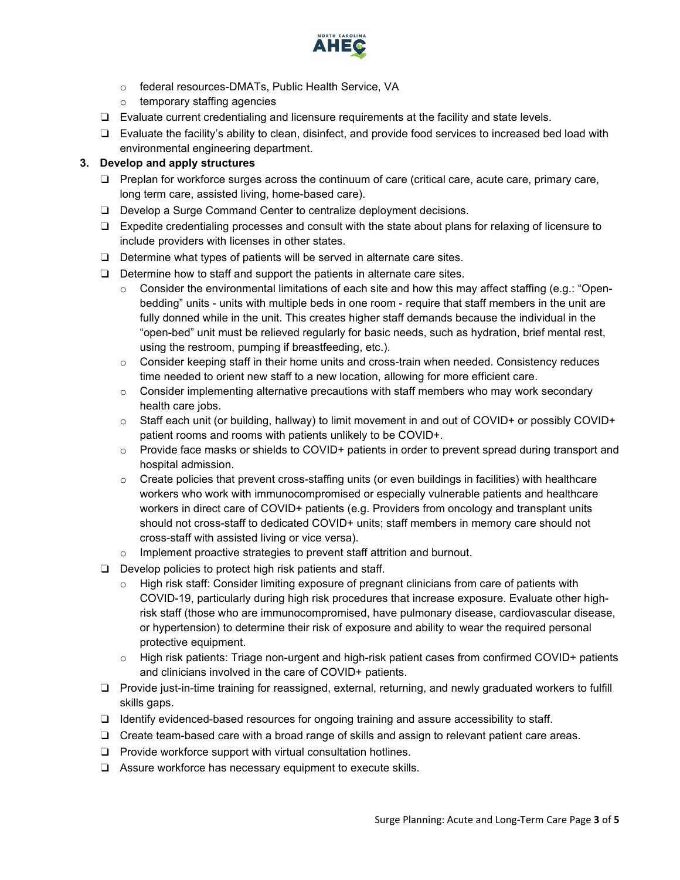

- o federal resources-DMATs, Public Health Service, VA
- o temporary staffing agencies
- ❏ Evaluate current credentialing and licensure requirements at the facility and state levels.
- ❏ Evaluate the facility's ability to clean, disinfect, and provide food services to increased bed load with environmental engineering department.

## **3. Develop and apply structures**

- ❏ Preplan for workforce surges across the continuum of care (critical care, acute care, primary care, long term care, assisted living, home-based care).
- ❏ Develop a Surge Command Center to centralize deployment decisions.
- ❏ Expedite credentialing processes and consult with the state about plans for relaxing of licensure to include providers with licenses in other states.
- ❏ Determine what types of patients will be served in alternate care sites.
- ❏ Determine how to staff and support the patients in alternate care sites.
	- $\circ$  Consider the environmental limitations of each site and how this may affect staffing (e.g.: "Openbedding" units - units with multiple beds in one room - require that staff members in the unit are fully donned while in the unit. This creates higher staff demands because the individual in the "open-bed" unit must be relieved regularly for basic needs, such as hydration, brief mental rest, using the restroom, pumping if breastfeeding, etc.).
	- $\circ$  Consider keeping staff in their home units and cross-train when needed. Consistency reduces time needed to orient new staff to a new location, allowing for more efficient care.
	- $\circ$  Consider implementing alternative precautions with staff members who may work secondary health care jobs.
	- o Staff each unit (or building, hallway) to limit movement in and out of COVID+ or possibly COVID+ patient rooms and rooms with patients unlikely to be COVID+.
	- $\circ$  Provide face masks or shields to COVID+ patients in order to prevent spread during transport and hospital admission.
	- $\circ$  Create policies that prevent cross-staffing units (or even buildings in facilities) with healthcare workers who work with immunocompromised or especially vulnerable patients and healthcare workers in direct care of COVID+ patients (e.g. Providers from oncology and transplant units should not cross-staff to dedicated COVID+ units; staff members in memory care should not cross-staff with assisted living or vice versa).
	- o Implement proactive strategies to prevent staff attrition and burnout.
- ❏ Develop policies to protect high risk patients and staff.
	- $\circ$  High risk staff: Consider limiting exposure of pregnant clinicians from care of patients with COVID-19, particularly during high risk procedures that increase exposure. Evaluate other highrisk staff (those who are immunocompromised, have pulmonary disease, cardiovascular disease, or hypertension) to determine their risk of exposure and ability to wear the required personal protective equipment.
	- $\circ$  High risk patients: Triage non-urgent and high-risk patient cases from confirmed COVID+ patients and clinicians involved in the care of COVID+ patients.
- ❏ Provide just-in-time training for reassigned, external, returning, and newly graduated workers to fulfill skills gaps.
- ❏ Identify evidenced-based resources for ongoing training and assure accessibility to staff.
- ❏ Create team-based care with a broad range of skills and assign to relevant patient care areas.
- ❏ Provide workforce support with virtual consultation hotlines.
- ❏ Assure workforce has necessary equipment to execute skills.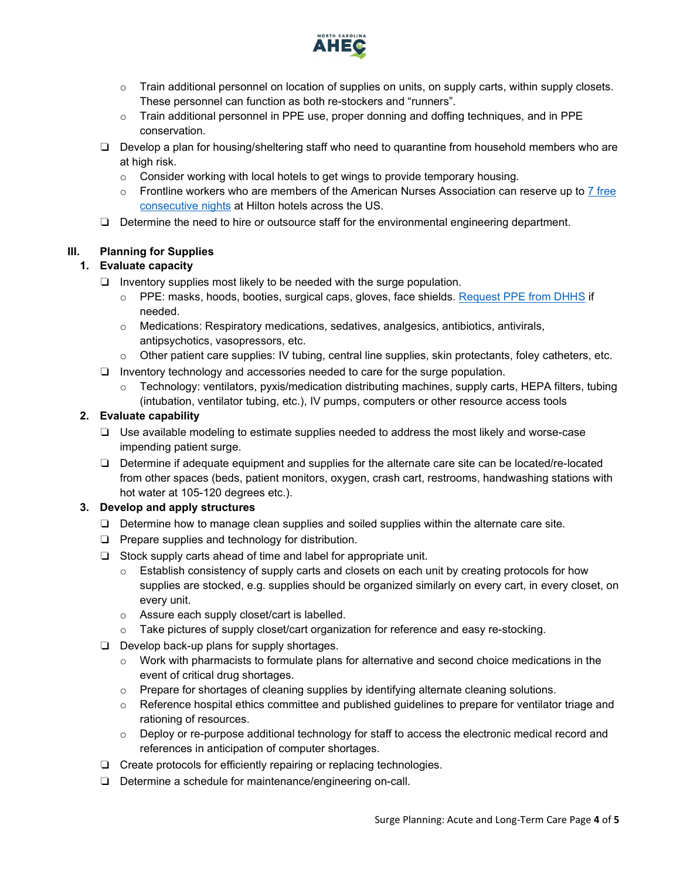

- $\circ$  Train additional personnel on location of supplies on units, on supply carts, within supply closets. These personnel can function as both re-stockers and "runners".
- o Train additional personnel in PPE use, proper donning and doffing techniques, and in PPE conservation.
- ❏ Develop a plan for housing/sheltering staff who need to quarantine from household members who are at high risk.
	- $\circ$  Consider working with local hotels to get wings to provide temporary housing.
	- $\circ$  Frontline workers who are members of the American Nurses Association can reserve up to 7 free [consecutive nights](https://ebiz.nursingworld.org/Login?returnurl=https://www.nursingworld.org/my-account/one-million-rooms/&SSOL=Y) at Hilton hotels across the US.
- ❏ Determine the need to hire or outsource staff for the environmental engineering department.

# **III. Planning for Supplies**

# **1. Evaluate capacity**

- ❏ Inventory supplies most likely to be needed with the surge population.
	- o PPE: masks, hoods, booties, surgical caps, gloves, face shields. [Request PPE from DHHS](https://www.ncdhhs.gov/divisions/public-health/covid19/health-care-providers-hospitals-and-laboratories/requesting-ppe) if needed.
	- $\circ$  Medications: Respiratory medications, sedatives, analgesics, antibiotics, antivirals, antipsychotics, vasopressors, etc.
	- $\circ$  Other patient care supplies: IV tubing, central line supplies, skin protectants, foley catheters, etc.
- ❏ Inventory technology and accessories needed to care for the surge population.
	- $\circ$  Technology: ventilators, pyxis/medication distributing machines, supply carts, HEPA filters, tubing (intubation, ventilator tubing, etc.), IV pumps, computers or other resource access tools

# **2. Evaluate capability**

- ❏ Use available modeling to estimate supplies needed to address the most likely and worse-case impending patient surge.
- ❏ Determine if adequate equipment and supplies for the alternate care site can be located/re-located from other spaces (beds, patient monitors, oxygen, crash cart, restrooms, handwashing stations with hot water at 105-120 degrees etc.).

### **3. Develop and apply structures**

- ❏ Determine how to manage clean supplies and soiled supplies within the alternate care site.
- ❏ Prepare supplies and technology for distribution.
- ❏ Stock supply carts ahead of time and label for appropriate unit.
	- $\circ$  Establish consistency of supply carts and closets on each unit by creating protocols for how supplies are stocked, e.g. supplies should be organized similarly on every cart, in every closet, on every unit.
	- o Assure each supply closet/cart is labelled.
	- o Take pictures of supply closet/cart organization for reference and easy re-stocking.
- ❏ Develop back-up plans for supply shortages.
	- $\circ$  Work with pharmacists to formulate plans for alternative and second choice medications in the event of critical drug shortages.
	- o Prepare for shortages of cleaning supplies by identifying alternate cleaning solutions.
	- $\circ$  Reference hospital ethics committee and published guidelines to prepare for ventilator triage and rationing of resources.
	- o Deploy or re-purpose additional technology for staff to access the electronic medical record and references in anticipation of computer shortages.
- ❏ Create protocols for efficiently repairing or replacing technologies.
- ❏ Determine a schedule for maintenance/engineering on-call.